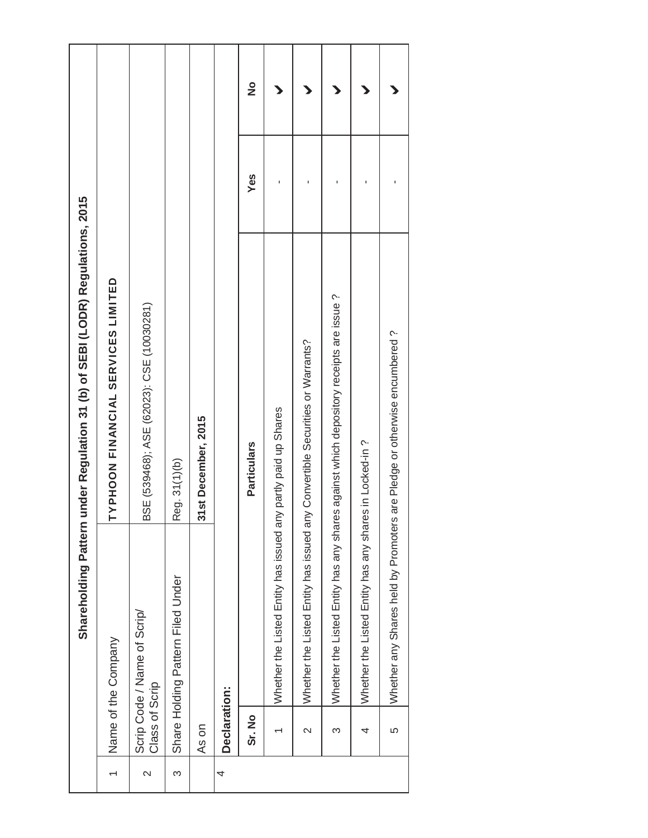|                   |                   | Shareholding Pattern                                   | under Regulation 31 (b) of SEBI (LODR) Regulations, 2015                              |     |               |
|-------------------|-------------------|--------------------------------------------------------|---------------------------------------------------------------------------------------|-----|---------------|
|                   |                   | Name of the Company                                    | TYPHOON FINANCIAL SERVICES LIMITED                                                    |     |               |
| $\mathbf{\Omega}$ | Class of Scrip    | Scrip Code / Name of Scrip/                            | BSE (539468); ASE (62023): CSE (10030281)                                             |     |               |
| S                 |                   | Share Holding Pattern Filed Under                      | Reg. 31(1)(b)                                                                         |     |               |
|                   | As on             |                                                        | 31st December, 2015                                                                   |     |               |
| 4                 | Declaration:      |                                                        |                                                                                       |     |               |
|                   | Sr. No            |                                                        | <b>Particulars</b>                                                                    | Yes | $\frac{1}{2}$ |
|                   |                   | Whether the Listed Entity has issued an                | ny partly paid up Shares                                                              |     |               |
|                   | $\mathbf{\Omega}$ |                                                        | Whether the Listed Entity has issued any Convertible Securities or Warrants?          |     |               |
|                   | ω                 |                                                        | Whether the Listed Entity has any shares against which depository receipts are issue? |     |               |
|                   | 4                 | Whether the Listed Entity has any shares in Locked-in? |                                                                                       |     |               |
|                   | 5                 | Whether any Shares held by Promoters                   | are Pledge or otherwise encumbered?                                                   |     |               |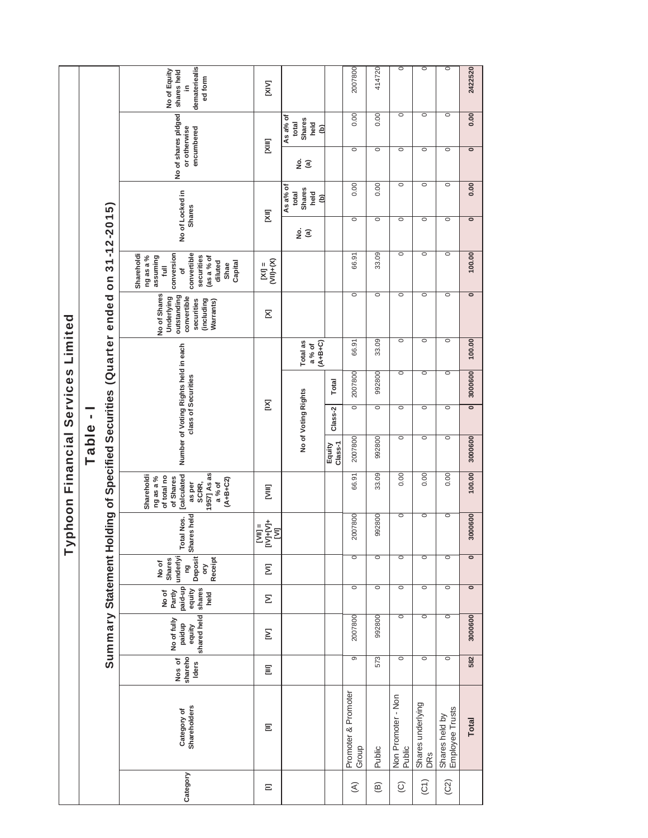| 2422520<br>0.00                                               |                                            | $\circ$             | 0.00                                     | $\overline{\bullet}$      | 100.00                                                                                                                                       | $\overline{\bullet}$                                                                              | 100.00                         | 3000600                                                     | $\overline{\bullet}$ | 3000600           | 100.00                                                                                                                            | 3000600                          | $\circ$                                                               | $\overline{\bullet}$                                   | 3000600                                        | 582                        | <b>Total</b>                       |
|---------------------------------------------------------------|--------------------------------------------|---------------------|------------------------------------------|---------------------------|----------------------------------------------------------------------------------------------------------------------------------------------|---------------------------------------------------------------------------------------------------|--------------------------------|-------------------------------------------------------------|----------------------|-------------------|-----------------------------------------------------------------------------------------------------------------------------------|----------------------------------|-----------------------------------------------------------------------|--------------------------------------------------------|------------------------------------------------|----------------------------|------------------------------------|
| $\circ$<br>$\circ$                                            |                                            | $\circ$             | $\circ$                                  | $\circ$                   | $\circ$                                                                                                                                      | $\circ$                                                                                           | $\circ$                        | $\circ$                                                     | $\circ$              | $\circ$           | 0.00                                                                                                                              | $\circ$                          | $\circ$                                                               | $\circ$                                                | $\circ$                                        | $\circ$                    | Shares held by<br>Employee Trusts  |
| $\circ$<br>$\circ$                                            |                                            | $\circ$             | $\overline{\circ}$                       | $\circ$                   | $\circ$                                                                                                                                      | $\circ$                                                                                           | $\circ$                        | $\circ$                                                     | $\circ$              | $\circ$           | 0.00                                                                                                                              | $\circ$                          | $\circ$                                                               | $\circ$                                                | $\circ$                                        | $\circ$                    | Shares underlying<br>DRS           |
| $\circ$<br>$\circ$                                            |                                            | $\circ$             | $\overline{\circ}$                       | $\circ$                   | $\circ$                                                                                                                                      | $\circ$                                                                                           | $\circ$                        | $\circ$                                                     | $\circ$              | $\circ$           | 0.00                                                                                                                              | $\circ$                          | $\circ$                                                               | $\overline{\circ}$                                     | $\circ$                                        | $\circ$                    | Non Promoter - Non<br>Public       |
| 414720<br>0.00                                                |                                            | $\circ$             | 0.00                                     | $\circ$                   | 33.09                                                                                                                                        | $\circ$                                                                                           | 33.09                          | 992800                                                      | $\circ$              | 992800            | 33.09                                                                                                                             | 992800                           | $\circ$                                                               | $\overline{\circ}$                                     | 992800                                         | 573                        | Public                             |
| 2007800<br>0.00                                               |                                            | $\circ$             | 0.00                                     | $\circ$                   | 66.91                                                                                                                                        | $\circ$                                                                                           | 66.91                          | 2007800                                                     | $\overline{\circ}$   | 2007800           | 66.91                                                                                                                             | 2007800                          | $\circ$                                                               | $\circ$                                                | 2007800                                        | 9                          | Promoter & Promoter<br>Group       |
|                                                               |                                            |                     |                                          |                           |                                                                                                                                              |                                                                                                   |                                | Total                                                       | Class-2              | Class-1<br>Equity |                                                                                                                                   |                                  |                                                                       |                                                        |                                                |                            |                                    |
|                                                               | As a% of<br>Shares<br>held<br>total<br>(b) | <u>ຼ</u> ອ໌ @       | As a% of<br>Shares<br>total<br>held<br>ê | <u>ş</u><br>$\widehat{a}$ |                                                                                                                                              |                                                                                                   | Total as<br>$(A+B+C)$<br>a% of |                                                             | No of Voting Rights  |                   |                                                                                                                                   |                                  |                                                                       |                                                        |                                                |                            |                                    |
| [XIV]                                                         | [IIIX]                                     |                     | $\overline{\Xi}$                         |                           | $M =$<br>$M =$<br>$M =$                                                                                                                      | Σ                                                                                                 |                                | $\Sigma$                                                    |                      |                   | ξ                                                                                                                                 | i<br>ENEX<br>ENEX                | Ξ                                                                     | Σ                                                      | Σ                                              | Ξ                          | Ξ                                  |
| demateriealis<br>No of Equity<br>shares held<br>ed form<br>≘. | or otherwise<br>encumbered                 | No of shares pldged | No of Locked in<br><b>Shares</b>         |                           | convertible<br>conversion<br>Shareholdi<br>ng as a %<br>assuming<br>securities<br>(as a % of<br>diluted<br>Capital<br>Shae<br>$\bar{a}$<br>đ | No of Shares<br>outstanding<br>Underlying<br>convertible<br>securities<br>(including<br>Warrants) |                                | Number of Voting Rights held in each<br>class of Securities |                      |                   | 1957] As as<br><b>calculated</b><br>Shareholdi<br>of total no<br>ng as a %<br>of Shares<br>$(A+B+C2)$<br>SCRR,<br>a% of<br>as per | Shares held<br><b>Total Nos.</b> | underlyi<br>Deposit<br>Receipt<br><b>Shares</b><br>No of<br>pg<br>ory | paid-up<br>shares<br>equity<br>No of<br>Partly<br>held | shared held<br>No of fully<br>paidup<br>equity | shareho<br>Nos of<br>Iders | <b>Shareholders</b><br>Category of |
|                                                               |                                            |                     |                                          |                           |                                                                                                                                              | Iding of Specified Securities (Quarter ended on 31-12-2015)                                       |                                |                                                             |                      | Table-            |                                                                                                                                   |                                  |                                                                       |                                                        | Summary Statement Ho                           |                            |                                    |
|                                                               |                                            |                     |                                          |                           |                                                                                                                                              |                                                                                                   |                                |                                                             |                      |                   | phoon Financial Services Limited                                                                                                  | ≧                                |                                                                       |                                                        |                                                |                            |                                    |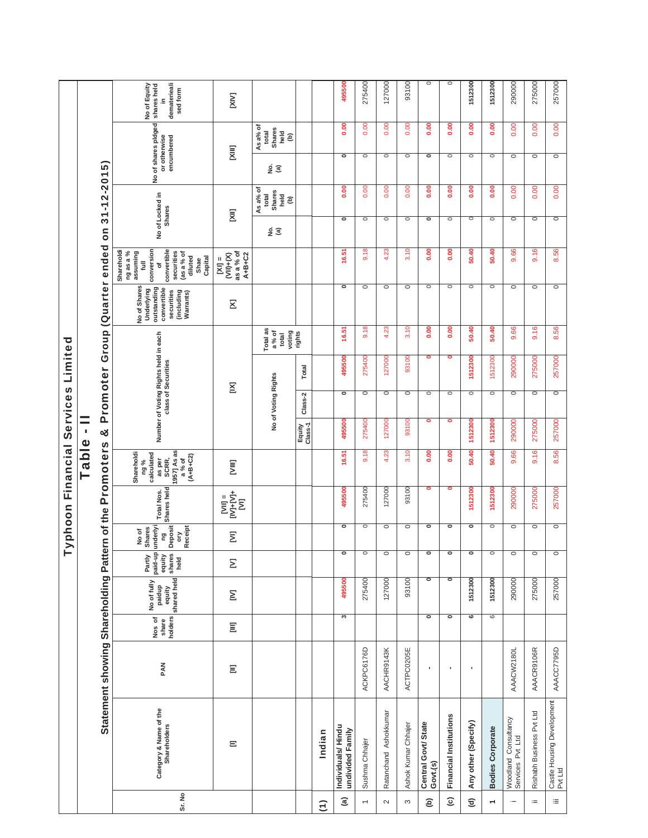|                          |                                          |                                     |                            |                                                |                                                       |                                                                    |                                           | Typhoon Financial Services Limited                                                        |                   |                     |                                                             |                                      |                                                                                                   |                                                                                                                                      |                                  |                                                 |                                                   |                                          |                                                               |
|--------------------------|------------------------------------------|-------------------------------------|----------------------------|------------------------------------------------|-------------------------------------------------------|--------------------------------------------------------------------|-------------------------------------------|-------------------------------------------------------------------------------------------|-------------------|---------------------|-------------------------------------------------------------|--------------------------------------|---------------------------------------------------------------------------------------------------|--------------------------------------------------------------------------------------------------------------------------------------|----------------------------------|-------------------------------------------------|---------------------------------------------------|------------------------------------------|---------------------------------------------------------------|
|                          |                                          |                                     |                            |                                                |                                                       |                                                                    |                                           | Fable                                                                                     | p                 |                     |                                                             |                                      |                                                                                                   |                                                                                                                                      |                                  |                                                 |                                                   |                                          |                                                               |
|                          |                                          | Statement showing Shareholding Patt |                            |                                                |                                                       |                                                                    |                                           | ern of the Promoters                                                                      | ช                 |                     |                                                             |                                      | Promoter Group (Quarter ended                                                                     |                                                                                                                                      | on 31-12-2015)                   |                                                 |                                                   |                                          |                                                               |
| Sr. No                   | Category & Name of the<br>Shareholders   | PAN                                 | holders<br>Nos of<br>share | equity<br>shared held<br>No of fully<br>paidup | paid-up<br>Partly<br>equity<br>shares<br>held<br>held | Deposit<br>underlyi<br><b>Receipt</b><br>No of<br>Shares<br>g<br>δ | Shares held<br><b>Total Nos.</b>          | 1957] As as<br>Shareholdi<br>calculated<br>$(A+B+C2)$<br>as per<br>SCRR,<br>a% of<br>ng % |                   |                     | Number of Voting Rights held in each<br>class of Securities |                                      | No of Shares<br>outstanding<br>Underlying<br>convertible<br>securities<br>(including<br>Warrants) | conversion<br>convertible<br>Shareholdi<br>ng as a %<br>assuming<br>securities<br>(as a % of<br>diluted<br>Capital<br>Shae<br>Ē<br>đ | No of Locked in<br><b>Shares</b> |                                                 | No of shares pidged<br>encumbered<br>or otherwise |                                          | dematerieali<br>No of Equity<br>shares held<br>sed form<br>≘. |
|                          | Ξ                                        | Ξ                                   | Ξ                          | Σ                                              | Σ                                                     | Σ                                                                  | $IVJ+IVJ+$<br>$sum =$<br>$\overline{\Xi}$ | E                                                                                         |                   | $\Sigma$            |                                                             |                                      | Σ                                                                                                 | as a % of<br>$(NH) + (X)$<br>$A+B+C2$<br>$ix =$                                                                                      | Σ                                |                                                 | [XIII]                                            |                                          | <b>IXIX</b>                                                   |
|                          |                                          |                                     |                            |                                                |                                                       |                                                                    |                                           |                                                                                           |                   | No of Voting Rights |                                                             | Total as<br>a% of<br>voting<br>total |                                                                                                   |                                                                                                                                      | ş<br>$\widehat{a}$               | As a% of<br><b>Shares</b><br>total<br>held<br>ê | ୁ କ                                               | As a% of<br>Shares<br>held<br>total<br>ê |                                                               |
|                          |                                          |                                     |                            |                                                |                                                       |                                                                    |                                           |                                                                                           | Equity<br>Class-1 | Class-2             | Total                                                       | rights                               |                                                                                                   |                                                                                                                                      |                                  |                                                 |                                                   |                                          |                                                               |
| $\widehat{\tau}$         | Indian                                   |                                     |                            |                                                |                                                       |                                                                    |                                           |                                                                                           |                   |                     |                                                             |                                      |                                                                                                   |                                                                                                                                      |                                  |                                                 |                                                   |                                          |                                                               |
| $\widehat{a}$            | Individuals/Hindu<br>undivided Family    |                                     | S                          | 495500                                         | $\circ$                                               | $\circ$                                                            | 495500                                    | 16.51                                                                                     | 495500            | $\circ$             | 495500                                                      | 16.51                                | $\circ$                                                                                           | 16.51                                                                                                                                | $\overline{\phantom{a}}$         | 0.00                                            | $\overline{\phantom{a}}$                          | 0.00                                     | 495500                                                        |
| $\leftarrow$             | Sushma Chhajer                           | ACKPC6176D                          |                            | 275400                                         | $\circ$                                               | $\circ$                                                            | 275400                                    | \$<br>တဲ                                                                                  | 275400            | $\circ$             | 275400                                                      | 9.18                                 | $\circ$                                                                                           | 9.18                                                                                                                                 | $\circ$                          | 0.00                                            | $\circ$                                           | 0.00                                     | 275400                                                        |
| $\sim$                   | Ratanchand Ashokkumar                    | AACHR9143K                          |                            | 127000                                         | $\circ$                                               | $\circ$                                                            | 127000                                    | 4.23                                                                                      | 127000            | $\circ$             | 127000                                                      | 4.23                                 | $\circ$                                                                                           | 4.23                                                                                                                                 | $\circ$                          | 0.00                                            | O                                                 | 0.00                                     | 127000                                                        |
| S                        | Ashok Kumar Chhajer                      | ACTPC0205E                          |                            | 93100                                          | $\circ$                                               | $\circ$                                                            | 93100                                     | 3.10                                                                                      | 93100             | $\circ$             | 93100                                                       | 3.10                                 | $\circ$                                                                                           | 3.10                                                                                                                                 | $\circ$                          | 0.00                                            | $\circ$                                           | 0.00                                     | 93100                                                         |
| ê                        | Central Govt/State<br>Govt.(s)           | ×                                   | $\bullet$                  | $\overline{\phantom{0}}$                       | ۰                                                     | $\circ$                                                            | ۰                                         | 0.00                                                                                      | $\bullet$         | $\circ$             | $\bullet$                                                   | 0.00                                 | $\circ$                                                                                           | 0.00                                                                                                                                 | $\bullet$                        | 0.00                                            | $\bullet$                                         | 0.00                                     | $\circ$                                                       |
| $\widehat{c}$            | <b>Financial Institutions</b>            | ٠                                   | ۰                          | $\overline{\bullet}$                           | ۰                                                     | ۰                                                                  | ۰                                         | 0.00                                                                                      | $\bullet$         | $\circ$             | ۰                                                           | 0.00                                 | $\circ$                                                                                           | 8                                                                                                                                    | $\circ$                          | $\frac{0.00}{2}$                                | $\circ$                                           | 0.00                                     | $\circ$                                                       |
| $\widehat{\sigma}$       | Any other (Specify)                      | ٠                                   | 6                          | 1512300                                        | $\circ$                                               | $\circ$                                                            | 1512300                                   | 50.40                                                                                     | 1512300           | $\circ$             | 1512300                                                     | 50.40                                | $\circ$                                                                                           | 50.40                                                                                                                                | $\circ$                          | $\frac{8}{2}$                                   | $\circ$                                           | 0.00                                     | 1512300                                                       |
| $\overline{\phantom{0}}$ | <b>Bodies Corporate</b>                  |                                     | 6                          | 1512300                                        | $\circ$                                               | $\circ$                                                            | 1512300                                   | 50.40                                                                                     | 1512300           | $\circ$             | 1512300                                                     | 50.40                                | $\circ$                                                                                           | 50.40                                                                                                                                | $\circ$                          | 0.00                                            | $\circ$                                           | 0.00                                     | 1512300                                                       |
| $\overline{\phantom{a}}$ | Woodland Consultancy<br>Services Pvt Ltd | AAACW2180L                          |                            | 290000                                         | $\circ$                                               | $\circ$                                                            | 290000                                    | 9.66                                                                                      | 290000            | $\circ$             | 290000                                                      | .66<br>တ                             | $\circ$                                                                                           | 9.66                                                                                                                                 | $\circ$                          | 0.00                                            | $\circ$                                           | 0.00                                     | 290000                                                        |
| $\coloneqq$              | Rishabh Business Pvt Ltd                 | AAACR9106R                          |                            | 275000                                         | $\circ$                                               | $\circ$                                                            | 275000                                    | 9.16                                                                                      | 275000            | $\circ$             | 275000                                                      | 9.16                                 | $\circ$                                                                                           | 9.16                                                                                                                                 | $\circ$                          | 0.00                                            | $\circ$                                           | 0.00                                     | 275000                                                        |
| 洼                        | Castle Housing Development<br>Pvt Ltd    | AAACC7795D                          |                            | 257000                                         | $\circ$                                               | $\circ$                                                            | 257000                                    | 8.56                                                                                      | 257000            | $\circ$             | 257000                                                      | 8.56                                 | $\circ$                                                                                           | 8.56                                                                                                                                 | $\circ$                          | 0.00                                            | $\overline{\circ}$                                | 0.00                                     | 257000                                                        |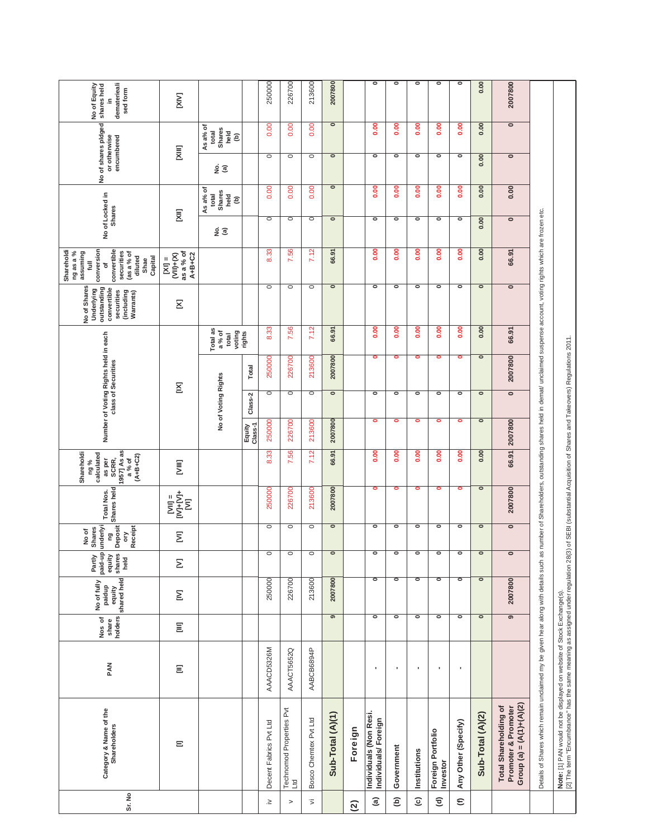| Sr. No                  | Category & Name of the<br>Shareholders                                                                                                                                                                                                 | PAN        | holders<br>Nos of<br>share | equity<br>shared held<br>No of fully<br>paidup | paid-up<br>shares<br>Partly<br>equity<br>held | Deposit<br>underlyi<br>Receipt<br>No of<br>Shares<br>δ<br>g | Shares held<br><b>Total Nos.</b>                                                                                                                                                                                                                                                                                                                                                                | 1957] As as<br>Shareholdi<br>calculated<br>$(A+B+C2)$<br>SCRR,<br>a% of<br>as per<br>ng % |                   |                          | Number of Voting Rights held in each<br>class of Securities |                                       | No of Shares<br>outstanding<br>Underlying<br>convertible<br>securities<br>(including<br>Warrants)                            | conversion<br>convertible<br>Shareholdi<br>ng as a %<br>assuming<br>securities<br>(as a % of<br>diluted<br>Capital<br>Shae<br>$\bar{a}$<br>đ | No of Locked in<br><b>Shares</b> |                                                    | No of shares pidged<br>encumbered<br>or otherwise |                                                      | dematerieali<br>No of Equity<br>shares held<br>sed form<br>≘. |
|-------------------------|----------------------------------------------------------------------------------------------------------------------------------------------------------------------------------------------------------------------------------------|------------|----------------------------|------------------------------------------------|-----------------------------------------------|-------------------------------------------------------------|-------------------------------------------------------------------------------------------------------------------------------------------------------------------------------------------------------------------------------------------------------------------------------------------------------------------------------------------------------------------------------------------------|-------------------------------------------------------------------------------------------|-------------------|--------------------------|-------------------------------------------------------------|---------------------------------------|------------------------------------------------------------------------------------------------------------------------------|----------------------------------------------------------------------------------------------------------------------------------------------|----------------------------------|----------------------------------------------------|---------------------------------------------------|------------------------------------------------------|---------------------------------------------------------------|
|                         | Ξ                                                                                                                                                                                                                                      | Ξ          | $\Xi$                      | $\mathsf{\underline{\Sigma}}$                  | Σ                                             | Σ                                                           | $\begin{array}{c} \bar{1} \bar{1} \bar{1} \bar{1} + \bar{1} \bar{1} \bar{1} \bar{1} \ \bar{1} \ \bar{1} \ \bar{1} \ \bar{1} \ \bar{1} \ \bar{1} \ \bar{1} \ \bar{1} \ \bar{1} \ \bar{1} \ \bar{1} \ \bar{1} \ \bar{1} \ \bar{1} \ \bar{1} \ \bar{1} \ \bar{1} \ \bar{1} \ \bar{1} \ \bar{1} \ \bar{1} \ \bar{1} \ \bar{1} \ \bar{1} \ \bar{1} \ \bar{1} \ \bar{1} \ \bar{1} \ \bar{$<br>$sum =$ | <b>E</b>                                                                                  |                   | $\Sigma$                 |                                                             |                                       | Σ                                                                                                                            | as a % of<br>$(NH+(X)$<br>$A+B+C2$<br>$\overline{K}$                                                                                         | Σ                                |                                                    | Ξ                                                 |                                                      | [XIV]                                                         |
|                         |                                                                                                                                                                                                                                        |            |                            |                                                |                                               |                                                             |                                                                                                                                                                                                                                                                                                                                                                                                 |                                                                                           |                   | No of Voting Rights      |                                                             | Total as<br>a % of<br>voting<br>total |                                                                                                                              |                                                                                                                                              | ୁ କ                              | As a% of<br>Shares<br>$rac{a}{2}$ $\odot$<br>total | ୁ କ                                               | As a% of<br>Shares<br>total<br>held<br>$\widehat{e}$ |                                                               |
|                         |                                                                                                                                                                                                                                        |            |                            |                                                |                                               |                                                             |                                                                                                                                                                                                                                                                                                                                                                                                 |                                                                                           | Class-1<br>Equity | Class-2                  | Total                                                       | rights                                |                                                                                                                              |                                                                                                                                              |                                  |                                                    |                                                   |                                                      |                                                               |
| $\geq$                  | Decent Fabrics Pvt Ltd                                                                                                                                                                                                                 | AAACD5326M |                            | 250000                                         | $\circ$                                       | $\circ$                                                     | 250000                                                                                                                                                                                                                                                                                                                                                                                          | 8.33                                                                                      | 250000            | $\circ$                  | 250000                                                      | ಜ್ಜಿ<br>ထံ                            | $\circ$                                                                                                                      | $\mathbf{3}$<br>ထံ                                                                                                                           | $\circ$                          | 0.00                                               | $\circ$                                           | 0.00                                                 | 250000                                                        |
| $\, > \,$               | Technomod Properties Pvt<br>Ltd                                                                                                                                                                                                        | AAACT5652Q |                            | 226700                                         | $\circ$                                       | $\circ$                                                     | 226700                                                                                                                                                                                                                                                                                                                                                                                          | .56<br>N                                                                                  | 226700            | $\circ$                  | 226700                                                      | S.<br>$\overline{ }$                  | $\circ$                                                                                                                      | နိ<br>$\mathbf{N}$                                                                                                                           | $\circ$                          | 0.00                                               | $\circ$                                           | 0.00                                                 | 226700                                                        |
| $\overline{\mathbf{z}}$ | Bosco Chemtex Pvt Ltd                                                                                                                                                                                                                  | AABCB6894P |                            | 213600                                         | $\circ$                                       | $\circ$                                                     | 213600                                                                                                                                                                                                                                                                                                                                                                                          | 7.12                                                                                      | 213600            | $\circ$                  | 213600                                                      | 7.12                                  | $\circ$                                                                                                                      | 7.12                                                                                                                                         | $\circ$                          | 0.00                                               | $\circ$                                           | 0.00                                                 | 213600                                                        |
|                         | Sub-Total (A)(1)                                                                                                                                                                                                                       |            | $\overline{\bullet}$       | 2007800                                        | $\overline{\phantom{a}}$                      | ॰                                                           | 2007800                                                                                                                                                                                                                                                                                                                                                                                         | 66.91                                                                                     | 2007800           | $\overline{\phantom{0}}$ | 2007800                                                     | 66.91                                 | $\circ$                                                                                                                      | 66.91                                                                                                                                        | $\circ$                          | $\bullet$                                          | $\bullet$                                         | $\bullet$                                            | 2007800                                                       |
| $\widehat{c}$           | Foreign                                                                                                                                                                                                                                |            |                            |                                                |                                               |                                                             |                                                                                                                                                                                                                                                                                                                                                                                                 |                                                                                           |                   |                          |                                                             |                                       |                                                                                                                              |                                                                                                                                              |                                  |                                                    |                                                   |                                                      |                                                               |
| $\widehat{a}$           | Individuals (Non Resi.<br>Individuals/Foreign                                                                                                                                                                                          | ٠          | $\bullet$                  | $\bullet$                                      | $\bullet$                                     | $\overline{\phantom{a}}$                                    | $\bullet$                                                                                                                                                                                                                                                                                                                                                                                       | 0.00                                                                                      | $\bullet$         | $\circ$                  | $\bullet$                                                   | 0.00                                  | $\bullet$                                                                                                                    | 0.00                                                                                                                                         | $\circ$                          | 0.00                                               | $\circ$                                           | 0.00                                                 | $\bullet$                                                     |
| ê                       | Government                                                                                                                                                                                                                             | ٠          | $\bullet$                  | $\bullet$                                      | $\bullet$                                     | $\bullet$                                                   | ۰                                                                                                                                                                                                                                                                                                                                                                                               | 0.00                                                                                      | $\bullet$         | $\bullet$                | ۰                                                           | 0.00                                  | ۰                                                                                                                            | 0.00                                                                                                                                         | $\circ$                          | 8.00                                               | ۰                                                 | $\frac{0}{2}$                                        | $\bullet$                                                     |
| $\widehat{\mathbf{c}}$  | Institutions                                                                                                                                                                                                                           | ٠          | ۰                          | $\circ$                                        | $\bullet$                                     | $\bullet$                                                   | ۰                                                                                                                                                                                                                                                                                                                                                                                               | 0.00                                                                                      | ۰                 | $\circ$                  | ۰                                                           | $\frac{8}{2}$                         | $\circ$                                                                                                                      | $\frac{8}{2}$                                                                                                                                | $\circ$                          | 8                                                  | ۰                                                 | $\frac{8}{2}$                                        | ۰                                                             |
| $\widehat{\mathbf{c}}$  | Foreign Portfolio<br>Investor                                                                                                                                                                                                          | ٠          | $\bullet$                  | $\bullet$                                      | $\bullet$                                     | $\bullet$                                                   | $\bullet$                                                                                                                                                                                                                                                                                                                                                                                       | 0.00                                                                                      | $\bullet$         | $\bullet$                | $\bullet$                                                   | 0.00                                  | $\circ$                                                                                                                      | 0.00                                                                                                                                         | $\circ$                          | 8.00                                               | $\circ$                                           | 0.00                                                 | $\bullet$                                                     |
| $\in$                   | Any Other (Specify)                                                                                                                                                                                                                    | ×          | $\overline{\phantom{a}}$   | $\bullet$                                      | $\bullet$                                     | $\bullet$                                                   | $\bullet$                                                                                                                                                                                                                                                                                                                                                                                       | 0.00                                                                                      | $\bullet$         | $\circ$                  | $\bullet$                                                   | 0.00                                  | $\circ$                                                                                                                      | 0.00                                                                                                                                         | $\circ$                          | $\frac{8}{2}$                                      | $\circ$                                           | 0.00                                                 | $\bullet$                                                     |
|                         | Sub-Total (A)(2)                                                                                                                                                                                                                       |            | ॰                          | $\bullet$                                      | $\overline{\bullet}$                          | ॰                                                           | $\bullet$                                                                                                                                                                                                                                                                                                                                                                                       | 0.00                                                                                      | $\circ$           | $\bullet$                | $\bullet$                                                   | 0.00                                  | $\bullet$                                                                                                                    | 0.00                                                                                                                                         | 0.00                             | 0.00                                               | 0.00                                              | 0.00                                                 | 0.00                                                          |
|                         | Group (a) = $(A(1)+(A)(2)$<br><b>Total Shareholding of</b><br>Promoter & Promoter                                                                                                                                                      |            | $\overline{\bullet}$       | 2007800                                        | $\bullet$                                     | $\circ$                                                     | 2007800                                                                                                                                                                                                                                                                                                                                                                                         | 66.91                                                                                     | 2007800           | $\overline{\bullet}$     | 2007800                                                     | 66.91                                 | $\circ$                                                                                                                      | 66.91                                                                                                                                        | $\circ$                          | 0.00                                               | $\circ$                                           | $\overline{\bullet}$                                 | 2007800                                                       |
|                         | Details of Shares which remain unclaimed my be given hear along with details such a                                                                                                                                                    |            |                            |                                                |                                               |                                                             |                                                                                                                                                                                                                                                                                                                                                                                                 |                                                                                           |                   |                          |                                                             |                                       | is number of Shareholders, outstanding shares held in demat/ unclaimed suspense account, voting rights which are frozen etc. |                                                                                                                                              |                                  |                                                    |                                                   |                                                      |                                                               |
|                         | <b>Note:</b> [1] PAN would not be displayed on website of Stock Exchange(s).<br>[2] The term "Encumbrance" has the same meaning as assigned under regulation 28(3) of SEBI (substantial Acquisition of Shares and Takeovers) Regulatio |            |                            |                                                |                                               |                                                             |                                                                                                                                                                                                                                                                                                                                                                                                 |                                                                                           |                   |                          |                                                             |                                       |                                                                                                                              |                                                                                                                                              |                                  |                                                    |                                                   |                                                      |                                                               |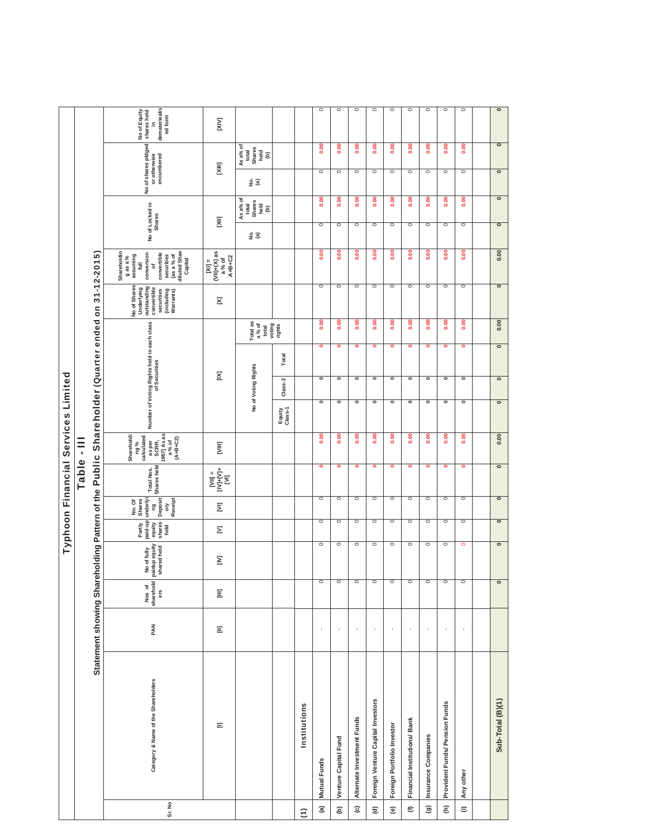|                                   |                                     |                                                                                                |                            |                                             |                                               |                                                              |                                                                                                                                                      |                                                                                           | Typhoon Financial Services Limited                          |                          |                          |                                       |                                                                                                   |                                                                                                                                       |                                  |                                                    |                                                   |                                                              |                                                               |
|-----------------------------------|-------------------------------------|------------------------------------------------------------------------------------------------|----------------------------|---------------------------------------------|-----------------------------------------------|--------------------------------------------------------------|------------------------------------------------------------------------------------------------------------------------------------------------------|-------------------------------------------------------------------------------------------|-------------------------------------------------------------|--------------------------|--------------------------|---------------------------------------|---------------------------------------------------------------------------------------------------|---------------------------------------------------------------------------------------------------------------------------------------|----------------------------------|----------------------------------------------------|---------------------------------------------------|--------------------------------------------------------------|---------------------------------------------------------------|
|                                   |                                     |                                                                                                |                            |                                             |                                               |                                                              | Table - III                                                                                                                                          |                                                                                           |                                                             |                          |                          |                                       |                                                                                                   |                                                                                                                                       |                                  |                                                    |                                                   |                                                              |                                                               |
|                                   |                                     | Statement showing Shareholding Pattern of the Public Shareholder (Quarter ended on 31-12-2015) |                            |                                             |                                               |                                                              |                                                                                                                                                      |                                                                                           |                                                             |                          |                          |                                       |                                                                                                   |                                                                                                                                       |                                  |                                                    |                                                   |                                                              |                                                               |
| Sr. No                            | Category & Name of the Shareholders | PAN                                                                                            | Nos of<br>sharehold<br>ers | No of fully<br>paidup equity<br>shared held | shares<br>held<br>paid-up<br>Partly<br>equity | Deposit<br>underlyi<br>Receipt<br>No. Of<br>Shares<br>g<br>δ | Shares held<br>Total Nos.                                                                                                                            | 1957] As as<br>Shareholdi<br>calculated<br>as per<br>SCRR,<br>$(A+B+C2)$<br>a% of<br>ng % | Number of Voting Rights held in each class<br>of Securities |                          |                          |                                       | No of Shares<br>outstanding<br>Underlying<br>convertible<br>securities<br>(including<br>Warrants) | Shareholdin<br>diluted Shae<br>conversion<br>convertible<br>securities<br>(as a % of<br>assuming<br>$9$ as a $%$<br>Capital<br>Į<br>đ | No of Locked in<br><b>Shares</b> |                                                    | No of shares pidged<br>encumbered<br>or otherwise |                                                              | demateriealis<br>ed form<br>No of Equity<br>shares held<br>≘. |
|                                   | $\equiv$                            | $\Xi$                                                                                          | $\Xi$                      | Σ                                           | Σ                                             | $\overline{\Sigma}$                                          | $\begin{array}{l} \mathbb{I}_{1}^{\mathbb{I}} \ \mathbb{I}_{2}^{\mathbb{I}} \ \mathbb{I}_{3}^{\mathbb{I}} \ \mathbb{I}_{4}^{\mathbb{I}} \end{array}$ | E                                                                                         |                                                             | Σ                        |                          |                                       | Σ                                                                                                 | $(VI )+(X)$ as<br>$A+B+C2$<br>a % of<br>$N =$                                                                                         | Σ                                |                                                    | [IIIX                                             |                                                              | [XIV]                                                         |
|                                   |                                     |                                                                                                |                            |                                             |                                               |                                                              |                                                                                                                                                      |                                                                                           |                                                             | No of Voting Rights      |                          | Total as<br>a % of<br>voting<br>total |                                                                                                   |                                                                                                                                       | <u>ջ</u> @                       | ୁ କ<br>As a% of<br>total<br>Shares<br>Teler<br>(a) |                                                   | As a% of<br><b>Shares</b><br>total<br>$\frac{1}{2}$ $\oplus$ |                                                               |
|                                   |                                     |                                                                                                |                            |                                             |                                               |                                                              |                                                                                                                                                      |                                                                                           | Equity<br>Class-1                                           | Class-2                  | Total                    | rights                                |                                                                                                   |                                                                                                                                       |                                  |                                                    |                                                   |                                                              |                                                               |
| $\widehat{\epsilon}$              | Institutions                        |                                                                                                |                            |                                             |                                               |                                                              |                                                                                                                                                      |                                                                                           |                                                             |                          |                          |                                       |                                                                                                   |                                                                                                                                       |                                  |                                                    |                                                   |                                                              |                                                               |
| $\widehat{a}$                     | Mutual Funds                        |                                                                                                |                            | $\circ$                                     | $\circ$                                       | $\circ$                                                      | $\bullet$                                                                                                                                            | 0.00                                                                                      | $\bullet$                                                   | $\overline{\phantom{a}}$ | $\bullet$                | 0.00                                  | $\circ$                                                                                           | 0.00                                                                                                                                  | $\circ$                          | 0.00                                               | $\circ$                                           | 0.00                                                         | $\circ$                                                       |
| ê                                 | Venture Capital Fund                |                                                                                                |                            | $\circ$                                     | $\circ$                                       | $\circ$                                                      | $\bullet$                                                                                                                                            | 0.00                                                                                      | $\bullet$                                                   | $\overline{\phantom{a}}$ | $\circ$                  | 0.00                                  | $\circ$                                                                                           | 0.00                                                                                                                                  | $\circ$                          | 0.00                                               | $\circ$                                           | 0.00                                                         | $\circ$                                                       |
| $\widehat{\mathbf{c}}$            | Alternate Investment Funds          |                                                                                                |                            | $\circ$                                     | $\circ$                                       | $\circ$                                                      | $\bullet$                                                                                                                                            | $\frac{0}{2}$                                                                             | $\overline{\phantom{a}}$                                    | $\overline{\phantom{a}}$ | $\circ$                  | 0.00                                  | $\circ$                                                                                           | 0.00                                                                                                                                  | $\circ$                          | 0.00                                               | $\circ$                                           | 0.00                                                         | $\circ$                                                       |
| $\widehat{\mathbf{c}}$            | Foreign Venture Capital Investors   |                                                                                                |                            | $\circ$                                     | $\circ$                                       | $\circ$                                                      | $\bullet$                                                                                                                                            | 0.00                                                                                      | $\overline{\phantom{a}}$                                    | $\overline{\phantom{a}}$ | $\bullet$                | 0.00                                  | $\circ$                                                                                           | 0.00                                                                                                                                  | $\circ$                          | 0.00                                               | $\circ$                                           | 0.00                                                         | $\circ$                                                       |
| $\widehat{\mathbf{e}}$            | Foreign Portfolio Investor          |                                                                                                |                            | $\circ$                                     | $\circ$                                       | $\circ$                                                      | $\bullet$                                                                                                                                            | 0.00                                                                                      | $\overline{\phantom{a}}$                                    | $\overline{\phantom{a}}$ | ۰                        | 0.00                                  | $\circ$                                                                                           | 0.00                                                                                                                                  | $\circ$                          | 0.00                                               | $\circ$                                           | 0.00                                                         | $\circ$                                                       |
| $\epsilon$                        | Financial Institutions/Bank         |                                                                                                |                            | $\circ$                                     | $\circ$                                       | $\circ$                                                      | $\bullet$                                                                                                                                            | 0.00                                                                                      | $\bullet$                                                   | $\overline{\phantom{a}}$ | ۰                        | 0.00                                  | $\circ$                                                                                           | 0.00                                                                                                                                  | $\circ$                          | 0.00                                               | $\circ$                                           | 0.00                                                         | $\circ$                                                       |
| $\widehat{\mathbf{e}}$            | Insurance Companies                 |                                                                                                |                            | $\circ$                                     | $\circ$                                       | $\circ$                                                      | $\bullet$                                                                                                                                            | $\frac{0}{2}$                                                                             | $\bullet$                                                   | $\overline{\phantom{a}}$ | $\bullet$                | 0.00                                  | $\circ$                                                                                           | 0.00                                                                                                                                  | $\circ$                          | 0.00                                               | $\circ$                                           | 0.00                                                         | $\circ$                                                       |
| $\widehat{\boldsymbol{\epsilon}}$ | Provident Funds/ Pension Funds      |                                                                                                |                            | $\circ$                                     | $\circ$                                       | $\circ$                                                      | $\bullet$                                                                                                                                            | 0.00                                                                                      | $\bullet$                                                   | $\overline{\phantom{a}}$ | $\bullet$                | 0.00                                  | $\circ$                                                                                           | 0.00                                                                                                                                  | $\circ$                          | 0.00                                               | $\circ$                                           | 0.00                                                         | $\circ$                                                       |
| $\widehat{=}$                     | Any other                           |                                                                                                |                            | $\circ$                                     | $\circ$                                       | $\circ$                                                      | $\bullet$                                                                                                                                            | $\frac{8}{2}$                                                                             | $\overline{\phantom{a}}$                                    | $\overline{\phantom{a}}$ | $\bullet$                | 0.00                                  | $\circ$                                                                                           | 0.00                                                                                                                                  | $\circ$                          | 0.00                                               | $\circ$                                           | 0.00                                                         | $\circ$                                                       |
|                                   |                                     |                                                                                                |                            |                                             |                                               |                                                              |                                                                                                                                                      |                                                                                           |                                                             |                          |                          |                                       |                                                                                                   |                                                                                                                                       |                                  |                                                    |                                                   |                                                              |                                                               |
|                                   | Sub-Total (B)(1)                    |                                                                                                |                            | $\overline{\phantom{0}}$                    | ᅙ                                             | $\bullet$                                                    | $\bullet$                                                                                                                                            | 0.00                                                                                      | $\overline{\phantom{a}}$                                    | $\overline{\phantom{a}}$ | $\overline{\phantom{a}}$ | 0.00                                  | $\overline{\phantom{a}}$                                                                          | 0.00                                                                                                                                  | $\overline{\phantom{0}}$         | $\overline{\phantom{0}}$                           | $\bullet$                                         | $\overline{\phantom{a}}$                                     | $\bullet$                                                     |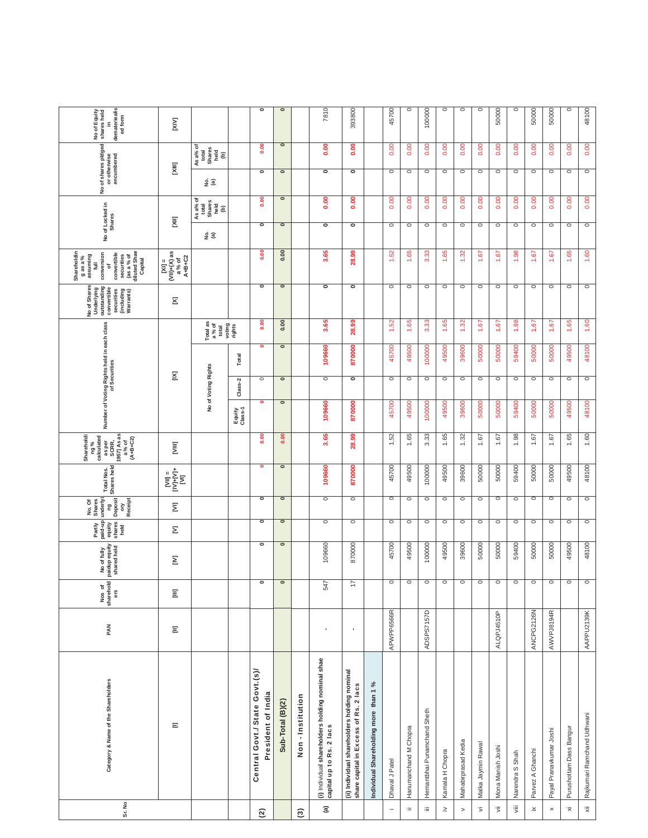| Sr. No                               | Category & Name of the Shareholders                                                   | PAN          | Nos of<br>sharehold<br>ers | paidup equity<br>shared held<br>No of fully | paid-up<br>shares<br>equity<br>Partly<br>held | underlyi<br><b>Deposit</b><br>Receipt<br>No. Of<br>Shares<br>pa<br>δ | Total Nos.<br>Shares held                                                   | Shareholdi<br>1957] As as<br>a % of<br>(A+B+C2)<br>ng%<br>calculated<br>as per<br>SCRR, | Number of Voting Rights held in each class<br>of Securities |                     |                          |                            | No of Shares<br>outstanding<br>Underlying<br>convertible<br>securities<br>(including<br>Warrants) | Shareholdin<br>securities<br>(as a % of<br>diluted Shae<br>conversion<br>convertible<br>g as a $%$<br>assuming<br>Capital<br>$\equiv$<br>ð      | No of Locked in<br><b>Shares</b> |                                         | No of shares pidged<br>encumbered<br>or otherwise |                                          | demateriealis<br>No of Equity<br>shares held<br>ed form<br>£. |
|--------------------------------------|---------------------------------------------------------------------------------------|--------------|----------------------------|---------------------------------------------|-----------------------------------------------|----------------------------------------------------------------------|-----------------------------------------------------------------------------|-----------------------------------------------------------------------------------------|-------------------------------------------------------------|---------------------|--------------------------|----------------------------|---------------------------------------------------------------------------------------------------|-------------------------------------------------------------------------------------------------------------------------------------------------|----------------------------------|-----------------------------------------|---------------------------------------------------|------------------------------------------|---------------------------------------------------------------|
|                                      | Ξ                                                                                     | $\Xi$        | E                          | Σ                                           | Σ                                             | Ξ                                                                    | $\begin{array}{l} \mathbb{H}^1 \\ \mathbb{H}^1 \\ \mathbb{H}^1 \end{array}$ | Ē                                                                                       |                                                             | Σ                   |                          |                            | Σ                                                                                                 | $\begin{array}{c}\n\text{[X1]} = \text{[X]}\n\\ \text{(VII)+(X)}\text{ as } \\ \text{a } \frac{9}{6} \text{ of } \\ \text{A+B+C2}\n\end{array}$ | ξ                                |                                         | ξ                                                 |                                          | ΣÑ                                                            |
|                                      |                                                                                       |              |                            |                                             |                                               |                                                                      |                                                                             |                                                                                         |                                                             | No of Voting Rights |                          | Total as<br>a% of<br>total |                                                                                                   |                                                                                                                                                 | <u>ទំ ច</u>                      | Asa% of<br>total<br>Shares<br>held<br>ê | ទ្ធ<br>ខ                                          | As a% of<br>Shares<br>held<br>total<br>ê |                                                               |
|                                      |                                                                                       |              |                            |                                             |                                               |                                                                      |                                                                             |                                                                                         | Equity<br>Class-1                                           | Class-2             | Total                    | voting<br>rights           |                                                                                                   |                                                                                                                                                 |                                  |                                         |                                                   |                                          |                                                               |
| $\mathfrak{D}$                       | Central Govt./ State Govt.(s)/<br>President of India                                  |              | 0                          | $\circ$                                     | $\circ$                                       | $\overline{\phantom{a}}$                                             | $\bullet$                                                                   | $\frac{8}{2}$                                                                           | $\overline{\phantom{a}}$                                    | $\circ$             | $\overline{\phantom{a}}$ | 0.00                       | $\circ$                                                                                           | 0.00                                                                                                                                            | $\circ$                          | 0.00                                    | $\overline{\phantom{a}}$                          | 0.00                                     | $\overline{\phantom{a}}$                                      |
|                                      | Sub-Total (B)(2)                                                                      |              | $\circ$                    | $\bullet$                                   | $\circ$                                       | $\bullet$                                                            | $\bullet$                                                                   | 0.00                                                                                    | $\bullet$                                                   | $\circ$             | $\overline{\phantom{a}}$ | 0.00                       | ॰                                                                                                 | 0.00                                                                                                                                            | $\bullet$                        | $\bullet$                               | $\bullet$                                         | $\bullet$                                | $\bullet$                                                     |
| $\widehat{\mathfrak{S}}$             | Non - Institution                                                                     |              |                            |                                             |                                               |                                                                      |                                                                             |                                                                                         |                                                             |                     |                          |                            |                                                                                                   |                                                                                                                                                 |                                  |                                         |                                                   |                                          |                                                               |
| $\widehat{\mathfrak{a}}$             | (i) Individual shareholders holding nominal shae<br>capital up to Rs. 2 lacs          | ×            | 547                        | 109660                                      | $\circ$                                       | $\circ$                                                              | 109660                                                                      | 3.65                                                                                    | 109660                                                      | $\circ$             | 109660                   | 3.65                       | $\overline{\phantom{a}}$                                                                          | 3.65                                                                                                                                            | $\bullet$                        | 0.00                                    | $\overline{\phantom{a}}$                          | ຮຸ<br>c                                  | 7810                                                          |
|                                      | (ii) Individual shareholders holding nominal<br>share capital in Excess of Rs. 2 lacs | $\mathbf{r}$ | $\overline{1}$             | 870000                                      | $\circ$                                       | $\circ$                                                              | 870000                                                                      | 28.99                                                                                   | 870000                                                      | $\circ$             | 870000                   | 28.99                      | $\overline{\phantom{a}}$                                                                          | 28.99                                                                                                                                           | $\circ$                          | 0.00                                    | $\bullet$                                         | 0.00                                     | 393800                                                        |
|                                      | Individual Shareholding more than 1 %                                                 |              |                            |                                             |                                               |                                                                      |                                                                             |                                                                                         |                                                             |                     |                          |                            |                                                                                                   |                                                                                                                                                 |                                  |                                         |                                                   |                                          |                                                               |
| $\cdots$                             | Dhaval J Patel                                                                        | APWPP6566R   | 0                          | 45700                                       | $\circ$                                       | $\circ$                                                              | 45700                                                                       | 1.52                                                                                    | 45700                                                       | $\circ$             | 45700                    | 52<br>÷                    | $\circ$                                                                                           | 52<br>÷                                                                                                                                         | $\circ$                          | 0.00                                    | $\circ$                                           | 0.00                                     | 45700                                                         |
| $\equiv$                             | Hanumanchand M Chopra                                                                 |              | $\circ$                    | 49500                                       | $\circ$                                       | $\circ$                                                              | 49500                                                                       | 1.65                                                                                    | 49500                                                       | $\circ$             | 49500                    | 1.65                       | $\circ$                                                                                           | 1.65                                                                                                                                            | $\circ$                          | 0.00                                    | $\circ$                                           | 0.00                                     | $\circ$                                                       |
| $\equiv$                             | Hemantbhai Punamchand Sheth                                                           | ADSPS7157D   | $\circ$                    | 100000                                      | $\circ$                                       | $\circ$                                                              | 100000                                                                      | ಼<br>က                                                                                  | 100000                                                      | $\circ$             | 100000                   | ೫<br>က်                    | $\circ$                                                                                           | ೫<br>က်                                                                                                                                         | $\circ$                          | 0.00                                    | $\circ$                                           | g<br>ö                                   | 100000                                                        |
| $\geq$                               | Kamala H Chopra                                                                       |              | $\circ$                    | 49500                                       | $\circ$                                       | $\circ$                                                              | 49500                                                                       | 1.65                                                                                    | 49500                                                       | $\circ$             | 49500                    | 1.65                       | $\circ$                                                                                           | 65<br>÷                                                                                                                                         | $\circ$                          | 0.00                                    | $\circ$                                           | 0.00                                     | O                                                             |
| $\,$                                 | Mahabirprasad Kedia                                                                   |              | $\circ$                    | 39600                                       | $\circ$                                       | $\circ$                                                              | 39600                                                                       | 1.32                                                                                    | 39600                                                       | $\circ$             | 39600                    | 1.32                       | $\circ$                                                                                           | 1.32                                                                                                                                            | $\circ$                          | 0.00                                    | $\circ$                                           | 0.00                                     | $\circ$                                                       |
| $\overline{\mathbf{5}}$              | Malka Jaymin Rawal                                                                    |              | $\circ$                    | 50000                                       | $\circ$                                       | $\circ$                                                              | 50000                                                                       | 1.67                                                                                    | 50000                                                       | $\circ$             | 50000                    | 1.67                       | $\circ$                                                                                           | 1.67                                                                                                                                            | $\circ$                          | 0.00                                    | $\circ$                                           | 0.00                                     | $\circ$                                                       |
| $\overline{\mathbb{R}}$              | Mona Manish Joshi                                                                     | ALQPJ4510P   | $\circ$                    | 50000                                       | O                                             | O                                                                    | 50000                                                                       | 1.67                                                                                    | 50000                                                       | $\circ$             | 50000                    | 1.67                       | $\circ$                                                                                           | 1.67                                                                                                                                            | $\circ$                          | 0.00                                    | O                                                 | 0.00                                     | 50000                                                         |
| $\mathop{\bar{\mathbb{F}}}\nolimits$ | Narendra S Shah                                                                       |              | $\circ$                    | 59400                                       | $\circ$                                       | $\circ$                                                              | 59400                                                                       | 1.98                                                                                    | 59400                                                       | $\circ$             | 59400                    | 38<br>÷                    | $\circ$                                                                                           | 38<br>÷                                                                                                                                         | $\circ$                          | 0.00                                    | $\circ$                                           | 0.00                                     | $\circ$                                                       |
| $\stackrel{\times}{\cdot}$           | Parvez A Ghanchi                                                                      | ANCPG2126N   | $\circ$                    | 50000                                       | O                                             | $\circ$                                                              | 50000                                                                       | 1.67                                                                                    | 50000                                                       | $\circ$             | 50000                    | 1.67                       | $\circ$                                                                                           | 1.67                                                                                                                                            | $\circ$                          | 0.00                                    | $\circ$                                           | 0.00                                     | 50000                                                         |
| $\boldsymbol{\times}$                | Payal Pranavkumar Joshi                                                               | AWVPJ8194R   | $\circ$                    | 50000                                       | $\circ$                                       | $\circ$                                                              | 50000                                                                       | 1.67                                                                                    | 50000                                                       | $\circ$             | 50000                    | 1.67                       | $\circ$                                                                                           | 1.67                                                                                                                                            | $\circ$                          | 0.00                                    | $\circ$                                           | 0.00                                     | 50000                                                         |
| $\bar{\times}$                       | Purushottam Dass Bangur                                                               |              | $\circ$                    | 49500                                       | $\circ$                                       | $\circ$                                                              | 49500                                                                       | 1.65                                                                                    | 49500                                                       | $\circ$             | 49500                    | 1.65                       | $\circ$                                                                                           | 1.65                                                                                                                                            | $\circ$                          | 0.00                                    | $\circ$                                           | 0.00                                     | $\circ$                                                       |
| $\overline{\mathbf{x}}$              | Rajkumari Ramchand Udhwani                                                            | AAPPU2139K   | $\circ$                    | 48100                                       | $\circ$                                       | $\circ$                                                              | 48100                                                                       | 1.60                                                                                    | 48100                                                       | $\circ$             | 48100                    | 1.60                       | $\circ$                                                                                           | 1.60                                                                                                                                            | $\circ$                          | 0.00                                    | $\circ$                                           | 0.00                                     | 48100                                                         |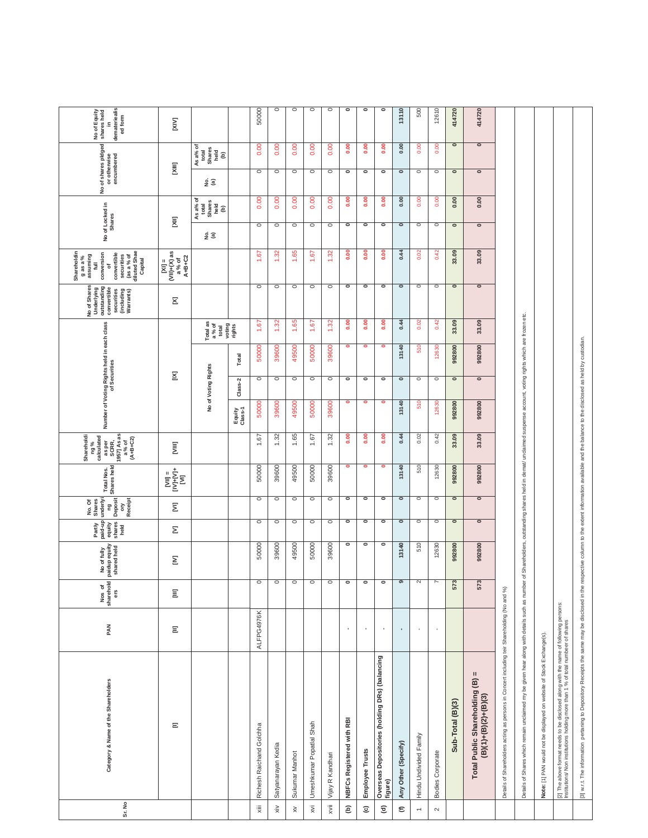| Sr. No                 | Category & Name of the Shareholders                                                                                                                                                                       | PAN            | sharehold<br>ers<br>Nos of | paidup equity<br>shared held<br>No of fully | Partly<br>paid-up<br>equity<br>shares<br>held | underlyi<br><b>Deposit</b><br>Receipt<br>No. Of<br>Shares<br>gu<br>δ | Shares held<br><b>Total Nos.</b>                                                                                                                                                                | 1957] As as<br>Shareholdi<br>ng%<br>calculated<br>as per<br>SCRR,<br>$(A + B + C2)$<br>a % of |                   |                          | Number of Voting Rights held in each class<br>of Securities |                             | No of Shares<br><b>Underlying</b><br>outstanding<br>convertible<br>securities<br>(including<br>Warrants) | Shareholdin<br>$\begin{array}{c}\n$ (as a % of<br>diluted Shae<br>Capital<br>conversion<br>convertible<br>securities<br>assuming<br>$9$ as a %<br>$\equiv$<br>đ | No of Locked in<br><b>Shares</b> |                                                         | No of shares pidged<br>or otherwise<br>encumbered |                               | demateriealis<br>ed form<br>No of Equity<br>shares held<br>$\tilde{=}$ |
|------------------------|-----------------------------------------------------------------------------------------------------------------------------------------------------------------------------------------------------------|----------------|----------------------------|---------------------------------------------|-----------------------------------------------|----------------------------------------------------------------------|-------------------------------------------------------------------------------------------------------------------------------------------------------------------------------------------------|-----------------------------------------------------------------------------------------------|-------------------|--------------------------|-------------------------------------------------------------|-----------------------------|----------------------------------------------------------------------------------------------------------|-----------------------------------------------------------------------------------------------------------------------------------------------------------------|----------------------------------|---------------------------------------------------------|---------------------------------------------------|-------------------------------|------------------------------------------------------------------------|
|                        | Ξ                                                                                                                                                                                                         | Ξ              | Ξ                          | Σ                                           | Σ                                             | Ξ                                                                    | $\begin{array}{l} \mathbb{I} \\ \mathbb{I} \\ \mathbb{I} \end{array} \begin{array}{l} \mathbb{I} \\ \mathbb{I} \\ \mathbb{I} \end{array} \begin{array}{l} \mathbb{I} \\ \mathbb{I} \end{array}$ | Ē                                                                                             |                   | Σ                        |                                                             |                             | Σ                                                                                                        | $A + B + C2$                                                                                                                                                    | ξ                                |                                                         | ξ                                                 |                               | ΣÑ                                                                     |
|                        |                                                                                                                                                                                                           |                |                            |                                             |                                               |                                                                      |                                                                                                                                                                                                 |                                                                                               | ş                 | of Voting Rights         |                                                             | Total as<br>a % of<br>total |                                                                                                          |                                                                                                                                                                 | <u>ទំ ច</u>                      | $As a\%$ of<br>total<br>Shares<br>Shares<br>held<br>(b) | êΞ                                                | $As a%6 totaltotalSharesheld$ |                                                                        |
|                        |                                                                                                                                                                                                           |                |                            |                                             |                                               |                                                                      |                                                                                                                                                                                                 |                                                                                               | Equity<br>Class-1 | Class-2                  | Total                                                       | voting<br>rights            |                                                                                                          |                                                                                                                                                                 |                                  |                                                         |                                                   |                               |                                                                        |
| $\ddot{\bar{z}}$       | Richesh Raichand Golchha                                                                                                                                                                                  | ALFPG4976K     | $\circ$                    | 50000                                       | $\circ$                                       | $\circ$                                                              | 50000                                                                                                                                                                                           | 1.67                                                                                          | 50000             | $\circ$                  | 50000                                                       | 1.67                        | $\circ$                                                                                                  | 67                                                                                                                                                              | $\circ$                          | 0.00                                                    | $\circ$                                           | 0.00                          | 50000                                                                  |
| $\times$               | Satyanarayan Kedia                                                                                                                                                                                        |                | $\circ$                    | 39600                                       | $\circ$                                       | $\circ$                                                              | 39600                                                                                                                                                                                           | 1.32                                                                                          | 39600             | $\circ$                  | 39600                                                       | ೫                           | $\circ$                                                                                                  | ္က                                                                                                                                                              | $\circ$                          | S<br>ö                                                  | $\circ$                                           | 0.00                          | $\circ$                                                                |
| $\gtrapprox$           | Sukumar Manhot                                                                                                                                                                                            |                | $\circ$                    | 49500                                       | $\circ$                                       | $\circ$                                                              | 49500                                                                                                                                                                                           | 1.65                                                                                          | 49500             | $\circ$                  | 49500                                                       | 1.65                        | $\circ$                                                                                                  | 85                                                                                                                                                              | $\circ$                          | 0.00                                                    | $\circ$                                           | 0.00                          | $\circ$                                                                |
| $\bar{\mathsf{x}}$     | Umeshkumar Popatlal Shah                                                                                                                                                                                  |                | $\overline{\circ}$         | 50000                                       | $\circ$                                       | $\circ$                                                              | 50000                                                                                                                                                                                           | 1.67                                                                                          | 50000             | $\circ$                  | 50000                                                       | 67                          | $\circ$                                                                                                  | 67                                                                                                                                                              | $\circ$                          | 8<br>ö                                                  | $\circ$                                           | 0.00                          | O                                                                      |
| $\ddot{\bar{z}}$       | Vijay R Kandhari                                                                                                                                                                                          |                | $\circ$                    | 39600                                       | $\circ$                                       | O                                                                    | 39600                                                                                                                                                                                           | 1.32                                                                                          | 39600             | $\circ$                  | 39600                                                       | 1.32                        | $\circ$                                                                                                  | ္က                                                                                                                                                              | $\circ$                          | 0.00                                                    | $\circ$                                           | 0.00                          | $\circ$                                                                |
| $\widehat{e}$          | <b>NBFCs Registered with RBI</b>                                                                                                                                                                          | $\mathbf{r}$   | $\overline{\phantom{a}}$   | $\circ$                                     | $\circ$                                       | ۰                                                                    | $\bullet$                                                                                                                                                                                       | $\frac{8}{2}$                                                                                 | $\bullet$         | $\circ$                  | $\bullet$                                                   | $\frac{0}{2}$               | $\overline{\phantom{a}}$                                                                                 | $\frac{8}{6}$                                                                                                                                                   | $\bullet$                        | 0.00                                                    | ۰                                                 | $\frac{8}{6}$                 | ۰                                                                      |
| $\widehat{\mathbf{c}}$ | Employee Trusts                                                                                                                                                                                           | $\blacksquare$ | $\overline{\phantom{a}}$   | $\circ$                                     | $\overline{\phantom{a}}$                      | ۰                                                                    | $\bullet$                                                                                                                                                                                       | $\frac{0}{2}$                                                                                 | ۰                 | $\overline{\phantom{a}}$ | ۰                                                           | 0.00                        | $\overline{\phantom{a}}$                                                                                 | 0.00                                                                                                                                                            | $\circ$                          | 0.00                                                    | ۰                                                 | $\frac{8}{1}$                 | ۰                                                                      |
| $\widehat{\mathbf{c}}$ | Overseas Depositories (holding DRs) (balancing<br>figure)                                                                                                                                                 | $\blacksquare$ | $\overline{\phantom{a}}$   | $\circ$                                     | $\circ$                                       | ۰                                                                    | ۰                                                                                                                                                                                               | $\frac{8}{2}$                                                                                 | ۰                 | $\circ$                  | ۰                                                           | 0.00                        | $\overline{\phantom{a}}$                                                                                 | $\frac{8}{6}$                                                                                                                                                   | $\bullet$                        | 0.00                                                    | ۰                                                 | 0.00                          | ۰                                                                      |
| $\mathop{\mathbf{E}}$  | Any Other (Specify)                                                                                                                                                                                       | $\blacksquare$ | $\overline{\phantom{a}}$   | 13140                                       | $\overline{\phantom{0}}$                      | $\bullet$                                                            | 13140                                                                                                                                                                                           | 0.44                                                                                          | 13140             | $\bullet$                | 13140                                                       | 0.44                        | $\bullet$                                                                                                | 0.44                                                                                                                                                            | $\circ$                          | 0.00                                                    | $\bullet$                                         | 0.00                          | 13110                                                                  |
| $\overline{ }$         | Hindu Undivided Family                                                                                                                                                                                    |                | 2                          | 510                                         | $\circ$                                       | $\circ$                                                              | 510                                                                                                                                                                                             | 0.02                                                                                          | 510               | $\circ$                  | 510                                                         | 0.02                        | $\circ$                                                                                                  | 0.02                                                                                                                                                            | $\circ$                          | 0.00                                                    | $\circ$                                           | 0.00                          | 500                                                                    |
| $\sim$                 | <b>Bodies Corporate</b>                                                                                                                                                                                   |                | $\overline{7}$             | 12630                                       | $\circ$                                       | $\circ$                                                              | 12630                                                                                                                                                                                           | 0.42                                                                                          | 12630             | $\circ$                  | 12630                                                       | 0.42                        | $\circ$                                                                                                  | 0.42                                                                                                                                                            | $\circ$                          | 0.00                                                    | $\circ$                                           | 0.00                          | 12610                                                                  |
|                        | Sub-Total (B)(3)                                                                                                                                                                                          |                | 573                        | 992800                                      | $\circ$                                       | $\bullet$                                                            | 992800                                                                                                                                                                                          | 33.09                                                                                         | 992800            | $\circ$                  | 992800                                                      | 33.09                       | $\overline{\phantom{0}}$                                                                                 | 33.09                                                                                                                                                           | $\circ$                          | 0.00                                                    | $\overline{\phantom{0}}$                          | $\bullet$                     | 414720                                                                 |
|                        | Total Public Shareholding (B) =<br>$(B)(1)+(B)(2)+(B)(3)$                                                                                                                                                 |                | 573                        | 992800                                      | $\bullet$                                     | $\bullet$                                                            | 992800                                                                                                                                                                                          | 33.09                                                                                         | 992800            | $\bullet$                | 992800                                                      | 33.09                       | $\bullet$                                                                                                | 33.09                                                                                                                                                           | $\circ$                          | 0.00                                                    | $\bullet$                                         | $\bullet$                     | 414720                                                                 |
|                        | Details of Shareholders acting as persons in Concert including teir Shareholding (No and %)                                                                                                               |                |                            |                                             |                                               |                                                                      |                                                                                                                                                                                                 |                                                                                               |                   |                          |                                                             |                             |                                                                                                          |                                                                                                                                                                 |                                  |                                                         |                                                   |                               |                                                                        |
|                        | Details of Shares which remain unclaimed my be given hear along with details such as number                                                                                                               |                |                            | Shareholders,<br>$\rm \breve{o}$            |                                               |                                                                      | outstanding shares held in demat/ unclaimed suspense                                                                                                                                            |                                                                                               |                   |                          | account, voting rights which are frozen etc.                |                             |                                                                                                          |                                                                                                                                                                 |                                  |                                                         |                                                   |                               |                                                                        |
|                        | Note: [1] PAN would not be displayed on website of Stock Exchange(s).                                                                                                                                     |                |                            |                                             |                                               |                                                                      |                                                                                                                                                                                                 |                                                                                               |                   |                          |                                                             |                             |                                                                                                          |                                                                                                                                                                 |                                  |                                                         |                                                   |                               |                                                                        |
|                        | [2] The above format needs to be disclosed along with the name of following persons:<br>Institutions/ Non institutions holding more than 1 % of total numbeer of shares                                   |                |                            |                                             |                                               |                                                                      |                                                                                                                                                                                                 |                                                                                               |                   |                          |                                                             |                             |                                                                                                          |                                                                                                                                                                 |                                  |                                                         |                                                   |                               |                                                                        |
|                        | [3] w.r.t. The information pertaning to Depository Receipts the same may be disclosed in the respective column to the extent information available and the balance to the disclosed as held by custodian. |                |                            |                                             |                                               |                                                                      |                                                                                                                                                                                                 |                                                                                               |                   |                          |                                                             |                             |                                                                                                          |                                                                                                                                                                 |                                  |                                                         |                                                   |                               |                                                                        |